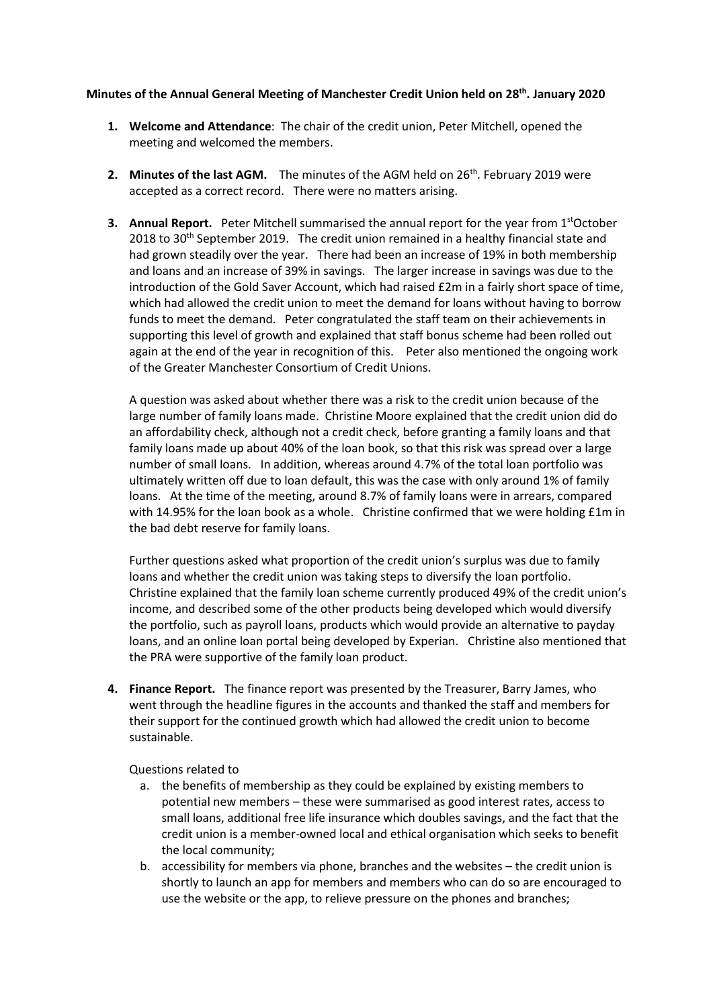## **Minutes of the Annual General Meeting of Manchester Credit Union held on 28th. January 2020**

- **1. Welcome and Attendance**: The chair of the credit union, Peter Mitchell, opened the meeting and welcomed the members.
- **2. Minutes of the last AGM.** The minutes of the AGM held on 26<sup>th</sup>. February 2019 were accepted as a correct record. There were no matters arising.
- **3. Annual Report.** Peter Mitchell summarised the annual report for the year from 1<sup>st</sup>October 2018 to  $30<sup>th</sup>$  September 2019. The credit union remained in a healthy financial state and had grown steadily over the year. There had been an increase of 19% in both membership and loans and an increase of 39% in savings. The larger increase in savings was due to the introduction of the Gold Saver Account, which had raised £2m in a fairly short space of time, which had allowed the credit union to meet the demand for loans without having to borrow funds to meet the demand. Peter congratulated the staff team on their achievements in supporting this level of growth and explained that staff bonus scheme had been rolled out again at the end of the year in recognition of this. Peter also mentioned the ongoing work of the Greater Manchester Consortium of Credit Unions.

A question was asked about whether there was a risk to the credit union because of the large number of family loans made. Christine Moore explained that the credit union did do an affordability check, although not a credit check, before granting a family loans and that family loans made up about 40% of the loan book, so that this risk was spread over a large number of small loans. In addition, whereas around 4.7% of the total loan portfolio was ultimately written off due to loan default, this was the case with only around 1% of family loans. At the time of the meeting, around 8.7% of family loans were in arrears, compared with 14.95% for the loan book as a whole. Christine confirmed that we were holding £1m in the bad debt reserve for family loans.

Further questions asked what proportion of the credit union's surplus was due to family loans and whether the credit union was taking steps to diversify the loan portfolio. Christine explained that the family loan scheme currently produced 49% of the credit union's income, and described some of the other products being developed which would diversify the portfolio, such as payroll loans, products which would provide an alternative to payday loans, and an online loan portal being developed by Experian. Christine also mentioned that the PRA were supportive of the family loan product.

**4. Finance Report.** The finance report was presented by the Treasurer, Barry James, who went through the headline figures in the accounts and thanked the staff and members for their support for the continued growth which had allowed the credit union to become sustainable.

Questions related to

- a. the benefits of membership as they could be explained by existing members to potential new members – these were summarised as good interest rates, access to small loans, additional free life insurance which doubles savings, and the fact that the credit union is a member-owned local and ethical organisation which seeks to benefit the local community;
- b. accessibility for members via phone, branches and the websites the credit union is shortly to launch an app for members and members who can do so are encouraged to use the website or the app, to relieve pressure on the phones and branches;